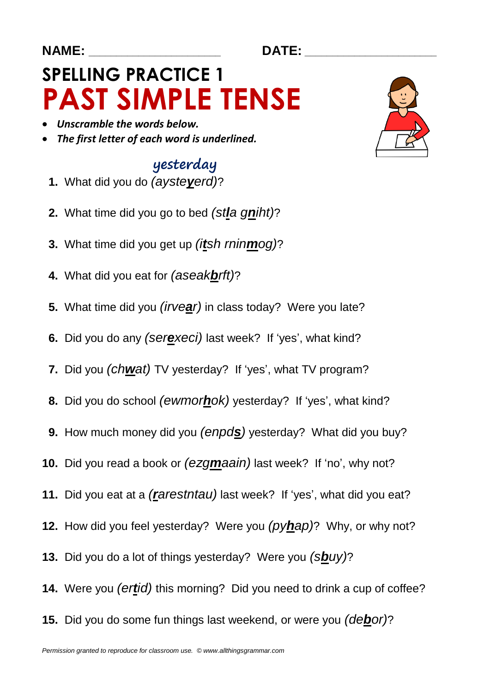#### **NAME: \_\_\_\_\_\_\_\_\_\_\_\_\_\_\_\_\_\_\_\_\_\_\_\_ DATE: \_\_\_\_\_\_\_\_\_\_\_\_\_\_\_\_\_\_\_\_\_\_\_\_**

# **SPELLING PRACTICE 1 PAST SIMPLE TENSE**

- *Unscramble the words below.*
- *The first letter of each word is underlined.*

#### yesterday

- **1.** What did you do *(aysteyerd)*?
- **2.** What time did you go to bed *(stla gniht)*?
- **3.** What time did you get up *(itsh rninmog)*?
- **4.** What did you eat for *(aseakbrft)*?
- **5.** What time did you *(irvear)* in class today? Were you late?
- **6.** Did you do any *(serexeci)* last week? If 'yes', what kind?
- **7.** Did you *(chwat)* TV yesterday? If 'yes', what TV program?
- **8.** Did you do school *(ewmorhok)* yesterday? If 'yes', what kind?
- **9.** How much money did you *(enpds)* yesterday? What did you buy?
- **10.** Did you read a book or *(ezgmaain)* last week? If 'no', why not?
- **11.** Did you eat at a *(rarestntau)* last week? If 'yes', what did you eat?
- **12.** How did you feel yesterday? Were you *(pyhap)*? Why, or why not?
- **13.** Did you do a lot of things yesterday? Were you *(sbuy)*?
- **14.** Were you *(ertid)* this morning? Did you need to drink a cup of coffee?
- **15.** Did you do some fun things last weekend, or were you *(debor)*?

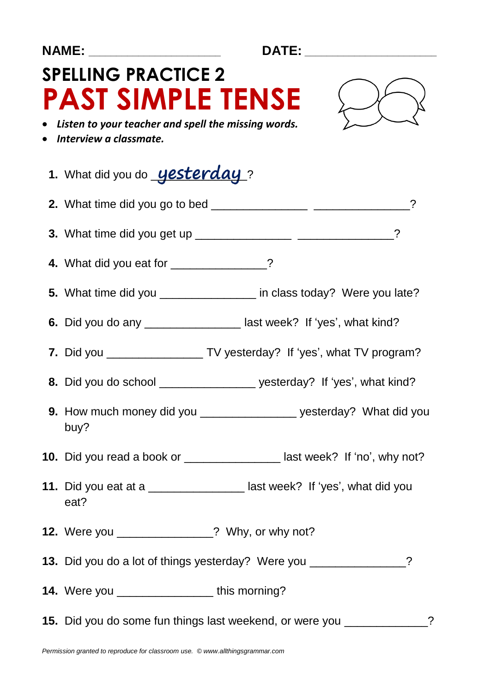| NAME: ______________________                                                                                                                |  |  |
|---------------------------------------------------------------------------------------------------------------------------------------------|--|--|
| <b>SPELLING PRACTICE 2</b><br><b>PAST SIMPLE TENSE</b><br>• Listen to your teacher and spell the missing words.<br>• Interview a classmate. |  |  |
|                                                                                                                                             |  |  |
| 1. What did you do <b>yesterday</b> ?                                                                                                       |  |  |
|                                                                                                                                             |  |  |
|                                                                                                                                             |  |  |
| 4. What did you eat for _____________?                                                                                                      |  |  |
| 5. What time did you _______________ in class today? Were you late?                                                                         |  |  |
| 6. Did you do any ___________________ last week? If 'yes', what kind?                                                                       |  |  |
| 7. Did you ______________________ TV yesterday? If 'yes', what TV program?                                                                  |  |  |
| 8. Did you do school ______________________ yesterday? If 'yes', what kind?                                                                 |  |  |
| 9. How much money did you _________________ yesterday? What did you<br>buy?                                                                 |  |  |
| 10. Did you read a book or ___________________last week? If 'no', why not?                                                                  |  |  |
| 11. Did you eat at a ___________________ last week? If 'yes', what did you<br>eat?                                                          |  |  |
| 12. Were you ______________? Why, or why not?                                                                                               |  |  |
| 13. Did you do a lot of things yesterday? Were you ______________?                                                                          |  |  |
| <b>14.</b> Were you _____________________this morning?                                                                                      |  |  |
| 15. Did you do some fun things last weekend, or were you ____________?                                                                      |  |  |